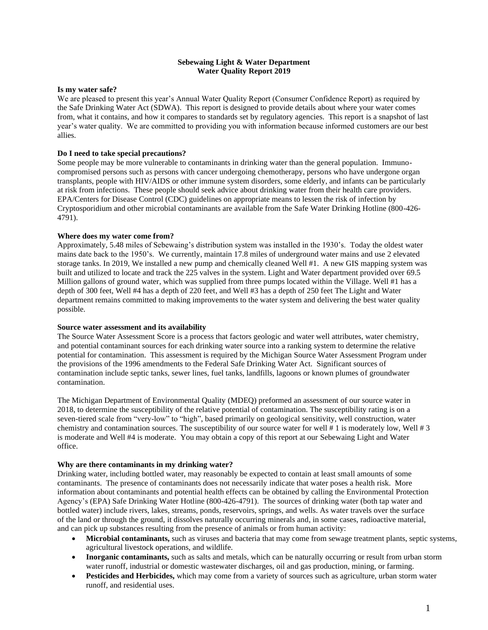### **Sebewaing Light & Water Department Water Quality Report 2019**

#### **Is my water safe?**

We are pleased to present this year's Annual Water Quality Report (Consumer Confidence Report) as required by the Safe Drinking Water Act (SDWA). This report is designed to provide details about where your water comes from, what it contains, and how it compares to standards set by regulatory agencies. This report is a snapshot of last year's water quality. We are committed to providing you with information because informed customers are our best allies.

#### **Do I need to take special precautions?**

Some people may be more vulnerable to contaminants in drinking water than the general population. Immunocompromised persons such as persons with cancer undergoing chemotherapy, persons who have undergone organ transplants, people with HIV/AIDS or other immune system disorders, some elderly, and infants can be particularly at risk from infections. These people should seek advice about drinking water from their health care providers. EPA/Centers for Disease Control (CDC) guidelines on appropriate means to lessen the risk of infection by Cryptosporidium and other microbial contaminants are available from the Safe Water Drinking Hotline (800-426- 4791).

#### **Where does my water come from?**

Approximately, 5.48 miles of Sebewaing's distribution system was installed in the 1930's. Today the oldest water mains date back to the 1950's. We currently, maintain 17.8 miles of underground water mains and use 2 elevated storage tanks. In 2019, We installed a new pump and chemically cleaned Well #1. A new GIS mapping system was built and utilized to locate and track the 225 valves in the system. Light and Water department provided over 69.5 Million gallons of ground water, which was supplied from three pumps located within the Village. Well #1 has a depth of 300 feet, Well #4 has a depth of 220 feet, and Well #3 has a depth of 250 feet The Light and Water department remains committed to making improvements to the water system and delivering the best water quality possible.

#### **Source water assessment and its availability**

The Source Water Assessment Score is a process that factors geologic and water well attributes, water chemistry, and potential contaminant sources for each drinking water source into a ranking system to determine the relative potential for contamination. This assessment is required by the Michigan Source Water Assessment Program under the provisions of the 1996 amendments to the Federal Safe Drinking Water Act. Significant sources of contamination include septic tanks, sewer lines, fuel tanks, landfills, lagoons or known plumes of groundwater contamination.

The Michigan Department of Environmental Quality (MDEQ) preformed an assessment of our source water in 2018, to determine the susceptibility of the relative potential of contamination. The susceptibility rating is on a seven-tiered scale from "very-low" to "high", based primarily on geological sensitivity, well construction, water chemistry and contamination sources. The susceptibility of our source water for well # 1 is moderately low, Well # 3 is moderate and Well #4 is moderate. You may obtain a copy of this report at our Sebewaing Light and Water office.

#### **Why are there contaminants in my drinking water?**

Drinking water, including bottled water, may reasonably be expected to contain at least small amounts of some contaminants. The presence of contaminants does not necessarily indicate that water poses a health risk. More information about contaminants and potential health effects can be obtained by calling the Environmental Protection Agency's (EPA) Safe Drinking Water Hotline (800-426-4791). The sources of drinking water (both tap water and bottled water) include rivers, lakes, streams, ponds, reservoirs, springs, and wells. As water travels over the surface of the land or through the ground, it dissolves naturally occurring minerals and, in some cases, radioactive material, and can pick up substances resulting from the presence of animals or from human activity:

- **Microbial contaminants,** such as viruses and bacteria that may come from sewage treatment plants, septic systems, agricultural livestock operations, and wildlife.
- **Inorganic contaminants,** such as salts and metals, which can be naturally occurring or result from urban storm water runoff, industrial or domestic wastewater discharges, oil and gas production, mining, or farming.
- **Pesticides and Herbicides,** which may come from a variety of sources such as agriculture, urban storm water runoff, and residential uses.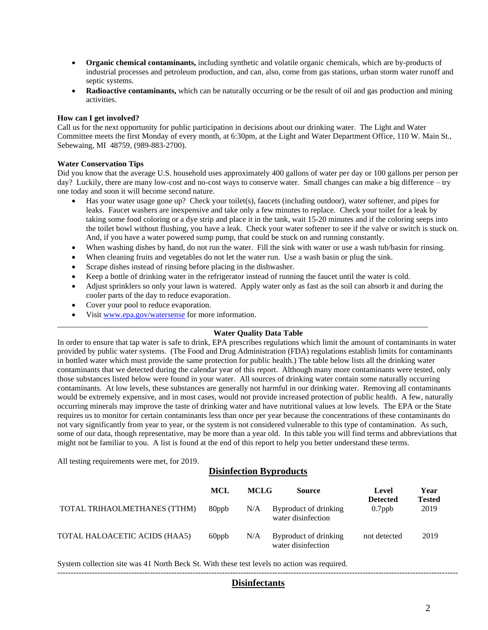- **Organic chemical contaminants,** including synthetic and volatile organic chemicals, which are by-products of industrial processes and petroleum production, and can, also, come from gas stations, urban storm water runoff and septic systems.
- **Radioactive contaminants,** which can be naturally occurring or be the result of oil and gas production and mining activities.

### **How can I get involved?**

Call us for the next opportunity for public participation in decisions about our drinking water. The Light and Water Committee meets the first Monday of every month, at 6:30pm, at the Light and Water Department Office, 110 W. Main St., Sebewaing, MI 48759, (989-883-2700).

#### **Water Conservation Tips**

Did you know that the average U.S. household uses approximately 400 gallons of water per day or 100 gallons per person per day? Luckily, there are many low-cost and no-cost ways to conserve water. Small changes can make a big difference – try one today and soon it will become second nature.

- Has your water usage gone up? Check your toilet(s), faucets (including outdoor), water softener, and pipes for leaks. Faucet washers are inexpensive and take only a few minutes to replace. Check your toilet for a leak by taking some food coloring or a dye strip and place it in the tank, wait 15-20 minutes and if the coloring seeps into the toilet bowl without flushing, you have a leak. Check your water softener to see if the valve or switch is stuck on. And, if you have a water powered sump pump, that could be stuck on and running constantly.
- When washing dishes by hand, do not run the water. Fill the sink with water or use a wash tub/basin for rinsing.
- When cleaning fruits and vegetables do not let the water run. Use a wash basin or plug the sink.
- Scrape dishes instead of rinsing before placing in the dishwasher.
- Keep a bottle of drinking water in the refrigerator instead of running the faucet until the water is cold.

\_\_\_\_\_\_\_\_\_\_\_\_\_\_\_\_\_\_\_\_\_\_\_\_\_\_\_\_\_\_\_\_\_\_\_\_\_\_\_\_\_\_\_\_\_\_\_\_\_\_\_\_\_\_\_\_\_\_\_\_\_\_\_\_\_\_\_\_\_\_\_\_\_\_\_\_\_\_\_\_\_\_\_\_\_\_\_\_\_\_\_\_\_

- Adjust sprinklers so only your lawn is watered. Apply water only as fast as the soil can absorb it and during the cooler parts of the day to reduce evaporation.
- Cover your pool to reduce evaporation.
- Visit [www.epa.gov/watersense](http://www.epa.gov/watersense) for more information.

#### **Water Quality Data Table**

In order to ensure that tap water is safe to drink, EPA prescribes regulations which limit the amount of contaminants in water provided by public water systems. (The Food and Drug Administration (FDA) regulations establish limits for contaminants in bottled water which must provide the same protection for public health.) The table below lists all the drinking water contaminants that we detected during the calendar year of this report. Although many more contaminants were tested, only those substances listed below were found in your water. All sources of drinking water contain some naturally occurring contaminants. At low levels, these substances are generally not harmful in our drinking water. Removing all contaminants would be extremely expensive, and in most cases, would not provide increased protection of public health. A few, naturally occurring minerals may improve the taste of drinking water and have nutritional values at low levels. The EPA or the State requires us to monitor for certain contaminants less than once per year because the concentrations of these contaminants do not vary significantly from year to year, or the system is not considered vulnerable to this type of contamination. As such, some of our data, though representative, may be more than a year old. In this table you will find terms and abbreviations that might not be familiar to you. A list is found at the end of this report to help you better understand these terms.

All testing requirements were met, for 2019.

## **Disinfection Byproducts**

|                               | MCL   | <b>MCLG</b> | Source                                      | Level<br><b>Detected</b> | Year<br><b>Tested</b> |
|-------------------------------|-------|-------------|---------------------------------------------|--------------------------|-----------------------|
| TOTAL TRIHAOLMETHANES (TTHM)  | 80ppb | N/A         | Byproduct of drinking<br>water disinfection | $0.7$ ppb                | 2019                  |
| TOTAL HALOACETIC ACIDS (HAA5) | 60ppb | N/A         | Byproduct of drinking<br>water disinfection | not detected             | 2019                  |

System collection site was 41 North Beck St. With these test levels no action was required.

### ------------------------------------------------------------------------------------------------------------------------------------------------------- **Disinfectants**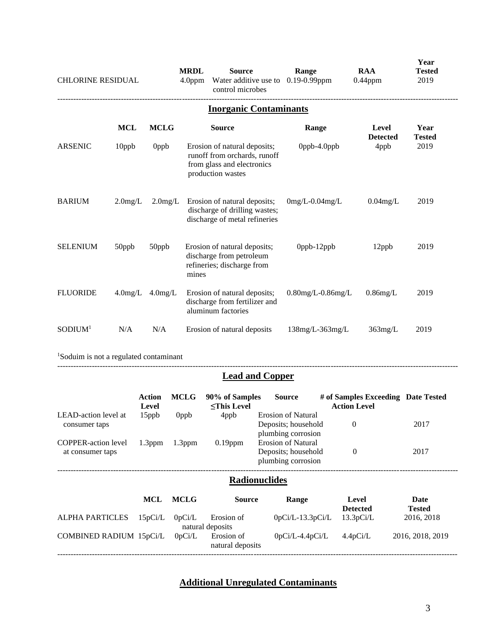| <b>CHLORINE RESIDUAL</b> |            |                  | <b>MRDL</b><br>4.0ppm | <b>Source</b><br>Water additive use to<br>control microbes                                                      | Range<br>$0.19 - 0.99$ ppm | <b>RAA</b><br>$0.44$ ppm | Year<br><b>Tested</b><br>2019 |
|--------------------------|------------|------------------|-----------------------|-----------------------------------------------------------------------------------------------------------------|----------------------------|--------------------------|-------------------------------|
|                          |            |                  |                       | <b>Inorganic Contaminants</b>                                                                                   |                            |                          |                               |
|                          | <b>MCL</b> | <b>MCLG</b>      |                       | <b>Source</b>                                                                                                   | Range                      | Level<br><b>Detected</b> | Year<br><b>Tested</b>         |
| <b>ARSENIC</b>           | 10ppb      | 0 <sub>ppb</sub> |                       | Erosion of natural deposits;<br>runoff from orchards, runoff<br>from glass and electronics<br>production wastes | Oppb-4.Oppb                | 4ppb                     | 2019                          |
| <b>BARIUM</b>            | $2.0$ mg/L | $2.0$ mg/L       |                       | Erosion of natural deposits;<br>discharge of drilling wastes;<br>discharge of metal refineries                  | $0mg/L - 0.04mg/L$         | $0.04$ mg/L              | 2019                          |
| <b>SELENIUM</b>          | 50ppb      | 50ppb            | mines                 | Erosion of natural deposits;<br>discharge from petroleum<br>refineries; discharge from                          | Oppb-12ppb                 | 12ppb                    | 2019                          |
| <b>FLUORIDE</b>          | $4.0$ mg/L | $4.0$ mg/L       |                       | Erosion of natural deposits;<br>discharge from fertilizer and<br>aluminum factories                             | $0.80$ mg/L- $0.86$ mg/L   | $0.86$ mg/L              | 2019                          |
| SODIUM <sup>1</sup>      | N/A        | N/A              |                       | Erosion of natural deposits                                                                                     | $138mg/L-363mg/L$          | $363$ mg/L               | 2019                          |
|                          |            |                  |                       |                                                                                                                 |                            |                          |                               |

<sup>1</sup>Soduim is not a regulated contaminant

# **Lead and Copper**

-------------------------------------------------------------------------------------------------------------------------------------------------------

|                                                | Action<br>Level | <b>MCLG</b>        | 90% of Samples<br><b><this b="" level<=""></this></b> | <b>Source</b>                                                          | # of Samples Exceeding Date Tested<br><b>Action Level</b> |                       |
|------------------------------------------------|-----------------|--------------------|-------------------------------------------------------|------------------------------------------------------------------------|-----------------------------------------------------------|-----------------------|
| LEAD-action level at<br>consumer taps          | 15ppb           | 0ppb               | 4ppb                                                  | <b>Erosion of Natural</b><br>Deposits; household<br>plumbing corrosion | $\theta$                                                  | 2017                  |
| <b>COPPER-action level</b><br>at consumer taps | $1.3$ ppm       | 1.3 <sub>ppm</sub> | $0.19$ ppm                                            | <b>Erosion of Natural</b><br>Deposits; household<br>plumbing corrosion | $\theta$                                                  | 2017                  |
|                                                |                 |                    | <b>Radionuclides</b>                                  |                                                                        |                                                           |                       |
|                                                | MCL             | <b>MCLG</b>        | <b>Source</b>                                         | Range                                                                  | Level<br><b>Detected</b>                                  | Date<br><b>Tested</b> |
| <b>ALPHA PARTICLES</b>                         | 15pCi/L         | 0pCi/L             | Erosion of<br>natural deposits                        | $0pCi/L-13.3pCi/L$                                                     | 13.3pCi/L                                                 | 2016, 2018            |
| COMBINED RADIUM 15pCi/L                        |                 | 0pCi/L             | Erosion of<br>natural deposits                        | $0pCi/L-4.4pCi/L$                                                      | 4.4pCi/L                                                  | 2016, 2018, 2019      |

# **Additional Unregulated Contaminants**

-------------------------------------------------------------------------------------------------------------------------------------------------------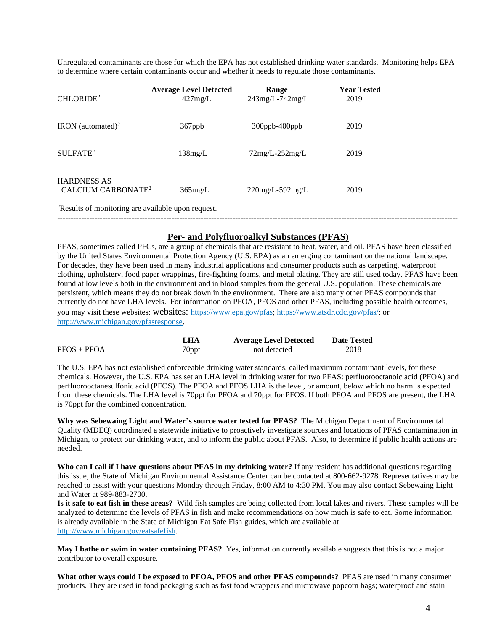Unregulated contaminants are those for which the EPA has not established drinking water standards. Monitoring helps EPA to determine where certain contaminants occur and whether it needs to regulate those contaminants.

| CHLORIDE <sup>2</sup>                                          | <b>Average Level Detected</b><br>427mg/L | Range<br>$243$ mg/L-742mg/L | <b>Year Tested</b><br>2019 |  |
|----------------------------------------------------------------|------------------------------------------|-----------------------------|----------------------------|--|
| IRON (automated) <sup>2</sup>                                  | 367ppb                                   | 300ppb-400ppb               | 2019                       |  |
| SULFATE <sup>2</sup>                                           | 138mg/L                                  | $72mg/L-252mg/L$            | 2019                       |  |
| <b>HARDNESS AS</b><br>CALCIUM CARBONATE <sup>2</sup>           | $365$ mg/L                               | $220$ mg/L-592mg/L          | 2019                       |  |
| <sup>2</sup> Results of monitoring are available upon request. |                                          |                             |                            |  |

# **Per- and Polyfluoroalkyl Substances (PFAS)**

PFAS, sometimes called PFCs, are a group of chemicals that are resistant to heat, water, and oil. PFAS have been classified by the United States Environmental Protection Agency (U.S. EPA) as an emerging contaminant on the national landscape. For decades, they have been used in many industrial applications and consumer products such as carpeting, waterproof clothing, upholstery, food paper wrappings, fire-fighting foams, and metal plating. They are still used today. PFAS have been found at low levels both in the environment and in blood samples from the general U.S. population. These chemicals are persistent, which means they do not break down in the environment. There are also many other PFAS compounds that currently do not have LHA levels. For information on PFOA, PFOS and other PFAS, including possible health outcomes, you may visit these websites: websites: https://www.epa.gov/pfas; https://www.atsdr.cdc.gov/pfas/; or http://www.michigan.gov/pfasresponse.

|               | LHA               | <b>Average Level Detected</b> | <b>Date Tested</b> |
|---------------|-------------------|-------------------------------|--------------------|
| $PFOS + PFOA$ | <sup>7</sup> 0ppt | not detected                  | 2018               |

The U.S. EPA has not established enforceable drinking water standards, called maximum contaminant levels, for these chemicals. However, the U.S. EPA has set an LHA level in drinking water for two PFAS: perfluorooctanoic acid (PFOA) and perfluorooctanesulfonic acid (PFOS). The PFOA and PFOS LHA is the level, or amount, below which no harm is expected from these chemicals. The LHA level is 70ppt for PFOA and 70ppt for PFOS. If both PFOA and PFOS are present, the LHA is 70ppt for the combined concentration.

**Why was Sebewaing Light and Water's source water tested for PFAS?** The Michigan Department of Environmental Quality (MDEQ) coordinated a statewide initiative to proactively investigate sources and locations of PFAS contamination in Michigan, to protect our drinking water, and to inform the public about PFAS. Also, to determine if public health actions are needed.

**Who can I call if I have questions about PFAS in my drinking water?** If any resident has additional questions regarding this issue, the State of Michigan Environmental Assistance Center can be contacted at 800-662-9278. Representatives may be reached to assist with your questions Monday through Friday, 8:00 AM to 4:30 PM. You may also contact Sebewaing Light and Water at 989-883-2700.

**Is it safe to eat fish in these areas?** Wild fish samples are being collected from local lakes and rivers. These samples will be analyzed to determine the levels of PFAS in fish and make recommendations on how much is safe to eat. Some information is already available in the State of Michigan Eat Safe Fish guides, which are available at http://www.michigan.gov/eatsafefish.

**May I bathe or swim in water containing PFAS?** Yes, information currently available suggests that this is not a major contributor to overall exposure.

**What other ways could I be exposed to PFOA, PFOS and other PFAS compounds?** PFAS are used in many consumer products. They are used in food packaging such as fast food wrappers and microwave popcorn bags; waterproof and stain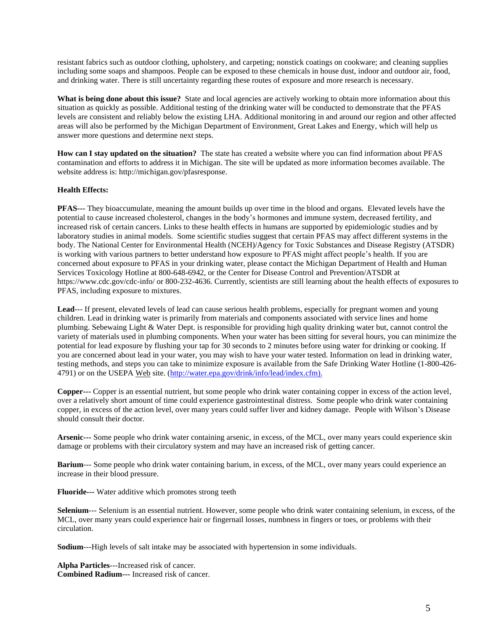resistant fabrics such as outdoor clothing, upholstery, and carpeting; nonstick coatings on cookware; and cleaning supplies including some soaps and shampoos. People can be exposed to these chemicals in house dust, indoor and outdoor air, food, and drinking water. There is still uncertainty regarding these routes of exposure and more research is necessary.

**What is being done about this issue?** State and local agencies are actively working to obtain more information about this situation as quickly as possible. Additional testing of the drinking water will be conducted to demonstrate that the PFAS levels are consistent and reliably below the existing LHA. Additional monitoring in and around our region and other affected areas will also be performed by the Michigan Department of Environment, Great Lakes and Energy, which will help us answer more questions and determine next steps.

**How can I stay updated on the situation?** The state has created a website where you can find information about PFAS contamination and efforts to address it in Michigan. The site will be updated as more information becomes available. The website address is: http://michigan.gov/pfasresponse.

## **Health Effects:**

**PFAS---** They bioaccumulate, meaning the amount builds up over time in the blood and organs. Elevated levels have the potential to cause increased cholesterol, changes in the body's hormones and immune system, decreased fertility, and increased risk of certain cancers. Links to these health effects in humans are supported by epidemiologic studies and by laboratory studies in animal models. Some scientific studies suggest that certain PFAS may affect different systems in the body. The National Center for Environmental Health (NCEH)/Agency for Toxic Substances and Disease Registry (ATSDR) is working with various partners to better understand how exposure to PFAS might affect people's health. If you are concerned about exposure to PFAS in your drinking water, please contact the Michigan Department of Health and Human Services Toxicology Hotline at 800-648-6942, or the Center for Disease Control and Prevention/ATSDR at https://www.cdc.gov/cdc-info/ or 800-232-4636. Currently, scientists are still learning about the health effects of exposures to PFAS, including exposure to mixtures.

Lead--- If present, elevated levels of lead can cause serious health problems, especially for pregnant women and young children. Lead in drinking water is primarily from materials and components associated with service lines and home plumbing. Sebewaing Light & Water Dept. is responsible for providing high quality drinking water but, cannot control the variety of materials used in plumbing components. When your water has been sitting for several hours, you can minimize the potential for lead exposure by flushing your tap for 30 seconds to 2 minutes before using water for drinking or cooking. If you are concerned about lead in your water, you may wish to have your water tested. Information on lead in drinking water, testing methods, and steps you can take to minimize exposure is available from the Safe Drinking Water Hotline (1-800-426- 4791) or on the USEPA Web site. (http://water.epa.gov/drink/info/lead/index.cfm).

**Copper---** Copper is an essential nutrient, but some people who drink water containing copper in excess of the action level, over a relatively short amount of time could experience gastrointestinal distress. Some people who drink water containing copper, in excess of the action level, over many years could suffer liver and kidney damage. People with Wilson's Disease should consult their doctor.

**Arsenic---** Some people who drink water containing arsenic, in excess, of the MCL, over many years could experience skin damage or problems with their circulatory system and may have an increased risk of getting cancer.

**Barium**--- Some people who drink water containing barium, in excess, of the MCL, over many years could experience an increase in their blood pressure.

**Fluoride---** Water additive which promotes strong teeth

**Selenium**--- Selenium is an essential nutrient. However, some people who drink water containing selenium, in excess, of the MCL, over many years could experience hair or fingernail losses, numbness in fingers or toes, or problems with their circulation.

**Sodium**---High levels of salt intake may be associated with hypertension in some individuals.

**Alpha Particles**---Increased risk of cancer. **Combined Radium---** Increased risk of cancer.